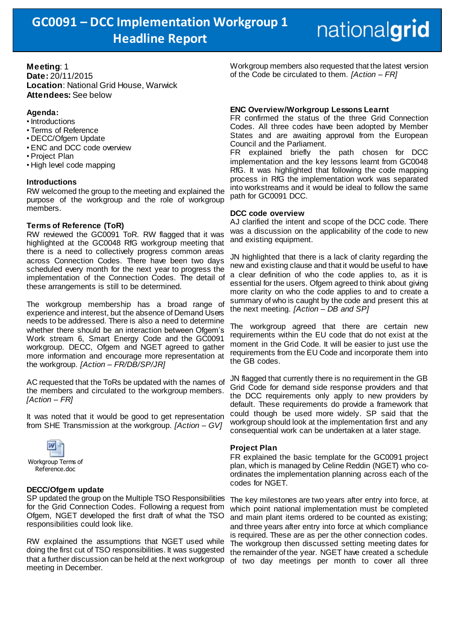## nationalgrid

**Meeting**: 1 **Date:** 20/11/2015 **Location**: National Grid House, Warwick **Attendees:** See below

## **Agenda:**

- Introductions
- Terms of Reference
- DECC/Ofgem Update
- ENC and DCC code overview
- Project Plan
- High level code mapping

#### **Introductions**

RW welcomed the group to the meeting and explained the purpose of the workgroup and the role of workgroup members.

#### **Terms of Reference (ToR)**

RW reviewed the GC0091 ToR. RW flagged that it was highlighted at the GC0048 RfG workgroup meeting that there is a need to collectively progress common areas across Connection Codes. There have been two days scheduled every month for the next year to progress the implementation of the Connection Codes. The detail of these arrangements is still to be determined.

The workgroup membership has a broad range of experience and interest, but the absence of Demand Users needs to be addressed. There is also a need to determine whether there should be an interaction between Ofgem's Work stream 6, Smart Energy Code and the GC0091 workgroup. DECC, Ofgem and NGET agreed to gather more information and encourage more representation at the workgroup. *[Action – FR/DB/SP/JR]*

AC requested that the ToRs be updated with the names of the members and circulated to the workgroup members. *[Action – FR]*

It was noted that it would be good to get representation from SHE Transmission at the workgroup. *[Action – GV]*



#### **DECC/Ofgem update**

SP updated the group on the Multiple TSO Responsibilities for the Grid Connection Codes. Following a request from Ofgem, NGET developed the first draft of what the TSO responsibilities could look like.

RW explained the assumptions that NGET used while doing the first cut of TSO responsibilities. It was suggested that a further discussion can be held at the next workgroup meeting in December.

Workgroup members also requested that the latest version of the Code be circulated to them. *[Action – FR]*

#### **ENC Overview/Workgroup Lessons Learnt**

FR confirmed the status of the three Grid Connection Codes. All three codes have been adopted by Member States and are awaiting approval from the European Council and the Parliament.

FR explained briefly the path chosen for DCC implementation and the key lessons learnt from GC0048 RfG. It was highlighted that following the code mapping process in RfG the implementation work was separated into workstreams and it would be ideal to follow the same path for GC0091 DCC.

#### **DCC code overview**

AJ clarified the intent and scope of the DCC code. There was a discussion on the applicability of the code to new and existing equipment.

JN highlighted that there is a lack of clarity regarding the new and existing clause and that it would be useful to have a clear definition of who the code applies to, as it is essential for the users. Ofgem agreed to think about giving more clarity on who the code applies to and to create a summary of who is caught by the code and present this at the next meeting. *[Action – DB and SP]*

The workgroup agreed that there are certain new requirements within the EU code that do not exist at the moment in the Grid Code. It will be easier to just use the requirements from the EU Code and incorporate them into the GB codes.

JN flagged that currently there is no requirement in the GB Grid Code for demand side response providers and that the DCC requirements only apply to new providers by default. These requirements do provide a framework that could though be used more widely. SP said that the workgroup should look at the implementation first and any consequential work can be undertaken at a later stage.

#### **Project Plan**

FR explained the basic template for the GC0091 project plan, which is managed by Celine Reddin (NGET) who coordinates the implementation planning across each of the codes for NGET.

The key milestones are two years after entry into force, at which point national implementation must be completed and main plant items ordered to be counted as existing; and three years after entry into force at which compliance is required. These are as per the other connection codes. The workgroup then discussed setting meeting dates for the remainder of the year. NGET have created a schedule of two day meetings per month to cover all three